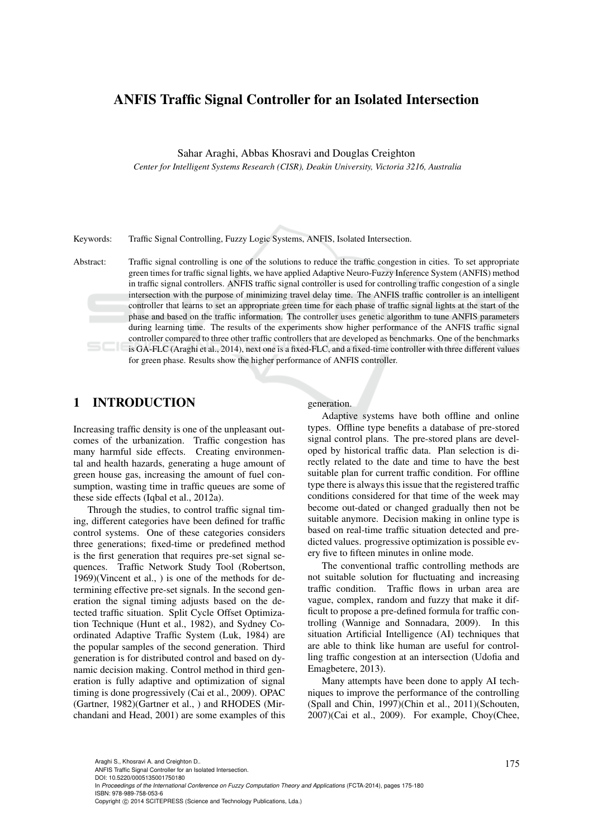## ANFIS Traffic Signal Controller for an Isolated Intersection

Sahar Araghi, Abbas Khosravi and Douglas Creighton

*Center for Intelligent Systems Research (CISR), Deakin University, Victoria 3216, Australia*

Keywords: Traffic Signal Controlling, Fuzzy Logic Systems, ANFIS, Isolated Intersection.

Abstract: Traffic signal controlling is one of the solutions to reduce the traffic congestion in cities. To set appropriate green times for traffic signal lights, we have applied Adaptive Neuro-Fuzzy Inference System (ANFIS) method in traffic signal controllers. ANFIS traffic signal controller is used for controlling traffic congestion of a single intersection with the purpose of minimizing travel delay time. The ANFIS traffic controller is an intelligent controller that learns to set an appropriate green time for each phase of traffic signal lights at the start of the phase and based on the traffic information. The controller uses genetic algorithm to tune ANFIS parameters during learning time. The results of the experiments show higher performance of the ANFIS traffic signal controller compared to three other traffic controllers that are developed as benchmarks. One of the benchmarks is GA-FLC (Araghi et al., 2014), next one is a fixed-FLC, and a fixed-time controller with three different values for green phase. Results show the higher performance of ANFIS controller.

### 1 INTRODUCTION

Increasing traffic density is one of the unpleasant outcomes of the urbanization. Traffic congestion has many harmful side effects. Creating environmental and health hazards, generating a huge amount of green house gas, increasing the amount of fuel consumption, wasting time in traffic queues are some of these side effects (Iqbal et al., 2012a).

Through the studies, to control traffic signal timing, different categories have been defined for traffic control systems. One of these categories considers three generations; fixed-time or predefined method is the first generation that requires pre-set signal sequences. Traffic Network Study Tool (Robertson, 1969)(Vincent et al., ) is one of the methods for determining effective pre-set signals. In the second generation the signal timing adjusts based on the detected traffic situation. Split Cycle Offset Optimization Technique (Hunt et al., 1982), and Sydney Coordinated Adaptive Traffic System (Luk, 1984) are the popular samples of the second generation. Third generation is for distributed control and based on dynamic decision making. Control method in third generation is fully adaptive and optimization of signal timing is done progressively (Cai et al., 2009). OPAC (Gartner, 1982)(Gartner et al., ) and RHODES (Mirchandani and Head, 2001) are some examples of this generation.

Adaptive systems have both offline and online types. Offline type benefits a database of pre-stored signal control plans. The pre-stored plans are developed by historical traffic data. Plan selection is directly related to the date and time to have the best suitable plan for current traffic condition. For offline type there is always this issue that the registered traffic conditions considered for that time of the week may become out-dated or changed gradually then not be suitable anymore. Decision making in online type is based on real-time traffic situation detected and predicted values. progressive optimization is possible every five to fifteen minutes in online mode.

The conventional traffic controlling methods are not suitable solution for fluctuating and increasing traffic condition. Traffic flows in urban area are vague, complex, random and fuzzy that make it difficult to propose a pre-defined formula for traffic controlling (Wannige and Sonnadara, 2009). In this situation Artificial Intelligence (AI) techniques that are able to think like human are useful for controlling traffic congestion at an intersection (Udofia and Emagbetere, 2013).

Many attempts have been done to apply AI techniques to improve the performance of the controlling (Spall and Chin, 1997)(Chin et al., 2011)(Schouten, 2007)(Cai et al., 2009). For example, Choy(Chee,

Araghi S., Khosravi A. and Creighton D..<br>ANFIS Traffic Signal Controller for an Isolated Intersection. DOI: 10.5220/0005135001750180

In *Proceedings of the International Conference on Fuzzy Computation Theory and Applications* (FCTA-2014), pages 175-180 ISBN: 978-989-758-053-6

Copyright © 2014 SCITEPRESS (Science and Technology Publications, Lda.)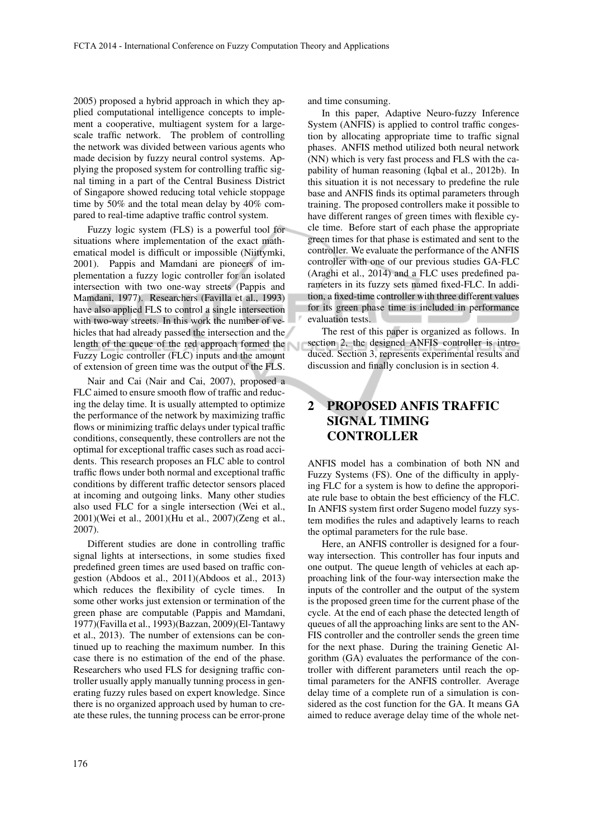2005) proposed a hybrid approach in which they applied computational intelligence concepts to implement a cooperative, multiagent system for a largescale traffic network. The problem of controlling the network was divided between various agents who made decision by fuzzy neural control systems. Applying the proposed system for controlling traffic signal timing in a part of the Central Business District of Singapore showed reducing total vehicle stoppage time by 50% and the total mean delay by 40% compared to real-time adaptive traffic control system.

Fuzzy logic system (FLS) is a powerful tool for situations where implementation of the exact mathematical model is difficult or impossible (Niittymki, 2001). Pappis and Mamdani are pioneers of implementation a fuzzy logic controller for an isolated intersection with two one-way streets (Pappis and Mamdani, 1977). Researchers (Favilla et al., 1993) have also applied FLS to control a single intersection with two-way streets. In this work the number of vehicles that had already passed the intersection and the length of the queue of the red approach formed the Fuzzy Logic controller (FLC) inputs and the amount of extension of green time was the output of the FLS.

Nair and Cai (Nair and Cai, 2007), proposed a FLC aimed to ensure smooth flow of traffic and reducing the delay time. It is usually attempted to optimize the performance of the network by maximizing traffic flows or minimizing traffic delays under typical traffic conditions, consequently, these controllers are not the optimal for exceptional traffic cases such as road accidents. This research proposes an FLC able to control traffic flows under both normal and exceptional traffic conditions by different traffic detector sensors placed at incoming and outgoing links. Many other studies also used FLC for a single intersection (Wei et al., 2001)(Wei et al., 2001)(Hu et al., 2007)(Zeng et al., 2007).

Different studies are done in controlling traffic signal lights at intersections, in some studies fixed predefined green times are used based on traffic congestion (Abdoos et al., 2011)(Abdoos et al., 2013) which reduces the flexibility of cycle times. In some other works just extension or termination of the green phase are computable (Pappis and Mamdani, 1977)(Favilla et al., 1993)(Bazzan, 2009)(El-Tantawy et al., 2013). The number of extensions can be continued up to reaching the maximum number. In this case there is no estimation of the end of the phase. Researchers who used FLS for designing traffic controller usually apply manually tunning process in generating fuzzy rules based on expert knowledge. Since there is no organized approach used by human to create these rules, the tunning process can be error-prone and time consuming.

In this paper, Adaptive Neuro-fuzzy Inference System (ANFIS) is applied to control traffic congestion by allocating appropriate time to traffic signal phases. ANFIS method utilized both neural network (NN) which is very fast process and FLS with the capability of human reasoning (Iqbal et al., 2012b). In this situation it is not necessary to predefine the rule base and ANFIS finds its optimal parameters through training. The proposed controllers make it possible to have different ranges of green times with flexible cycle time. Before start of each phase the appropriate green times for that phase is estimated and sent to the controller. We evaluate the performance of the ANFIS controller with one of our previous studies GA-FLC (Araghi et al., 2014) and a FLC uses predefined parameters in its fuzzy sets named fixed-FLC. In addition, a fixed-time controller with three different values for its green phase time is included in performance evaluation tests. **Contract Contract** 

The rest of this paper is organized as follows. In section 2, the designed ANFIS controller is introduced. Section 3, represents experimental results and discussion and finally conclusion is in section 4.

# PROPOSED ANFIS TRAFFIC SIGNAL TIMING **CONTROLLER**

ANFIS model has a combination of both NN and Fuzzy Systems (FS). One of the difficulty in applying FLC for a system is how to define the approporiate rule base to obtain the best efficiency of the FLC. In ANFIS system first order Sugeno model fuzzy system modifies the rules and adaptively learns to reach the optimal parameters for the rule base.

Here, an ANFIS controller is designed for a fourway intersection. This controller has four inputs and one output. The queue length of vehicles at each approaching link of the four-way intersection make the inputs of the controller and the output of the system is the proposed green time for the current phase of the cycle. At the end of each phase the detected length of queues of all the approaching links are sent to the AN-FIS controller and the controller sends the green time for the next phase. During the training Genetic Algorithm (GA) evaluates the performance of the controller with different parameters until reach the optimal parameters for the ANFIS controller. Average delay time of a complete run of a simulation is considered as the cost function for the GA. It means GA aimed to reduce average delay time of the whole net-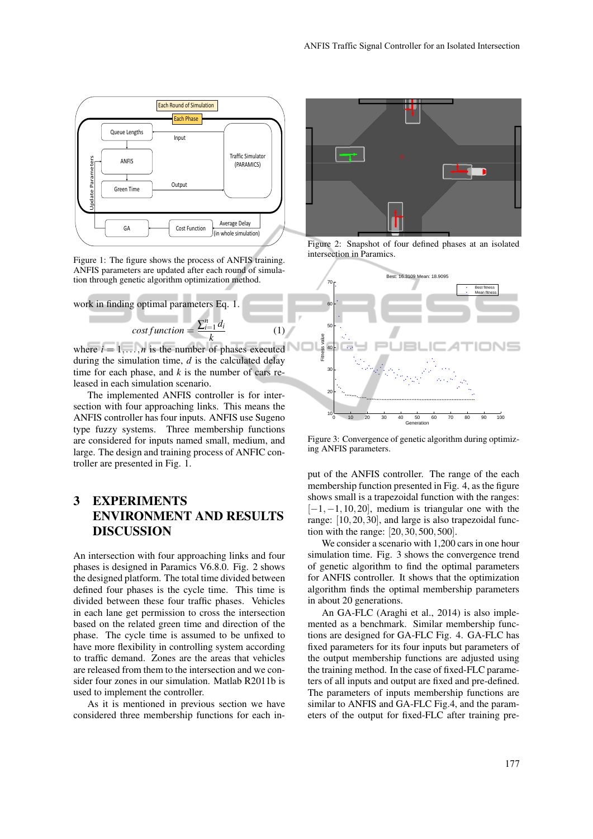

Figure 1: The figure shows the process of ANFIS training. ANFIS parameters are updated after each round of simulation through genetic algorithm optimization method.



*k* where  $i = 1, \ldots, n$  is the number of phases executed during the simulation time, *d* is the calculated delay time for each phase, and  $k$  is the number of cars released in each simulation scenario.

(1)

The implemented ANFIS controller is for intersection with four approaching links. This means the ANFIS controller has four inputs. ANFIS use Sugeno type fuzzy systems. Three membership functions are considered for inputs named small, medium, and large. The design and training process of ANFIC controller are presented in Fig. 1.

# 3 EXPERIMENTS ENVIRONMENT AND RESULTS DISCUSSION

An intersection with four approaching links and four phases is designed in Paramics V6.8.0. Fig. 2 shows the designed platform. The total time divided between defined four phases is the cycle time. This time is divided between these four traffic phases. Vehicles in each lane get permission to cross the intersection based on the related green time and direction of the phase. The cycle time is assumed to be unfixed to have more flexibility in controlling system according to traffic demand. Zones are the areas that vehicles are released from them to the intersection and we consider four zones in our simulation. Matlab R2011b is used to implement the controller.

As it is mentioned in previous section we have considered three membership functions for each in-



Figure 2: Snapshot of four defined phases at an isolated intersection in Paramics.



Figure 3: Convergence of genetic algorithm during optimizing ANFIS parameters.

put of the ANFIS controller. The range of the each membership function presented in Fig. 4, as the figure shows small is a trapezoidal function with the ranges:  $[-1,-1,10,20]$ , medium is triangular one with the range: [10,20,30], and large is also trapezoidal function with the range: [20,30,500,500].

We consider a scenario with 1,200 cars in one hour simulation time. Fig. 3 shows the convergence trend of genetic algorithm to find the optimal parameters for ANFIS controller. It shows that the optimization algorithm finds the optimal membership parameters in about 20 generations.

An GA-FLC (Araghi et al., 2014) is also implemented as a benchmark. Similar membership functions are designed for GA-FLC Fig. 4. GA-FLC has fixed parameters for its four inputs but parameters of the output membership functions are adjusted using the training method. In the case of fixed-FLC parameters of all inputs and output are fixed and pre-defined. The parameters of inputs membership functions are similar to ANFIS and GA-FLC Fig.4, and the parameters of the output for fixed-FLC after training pre-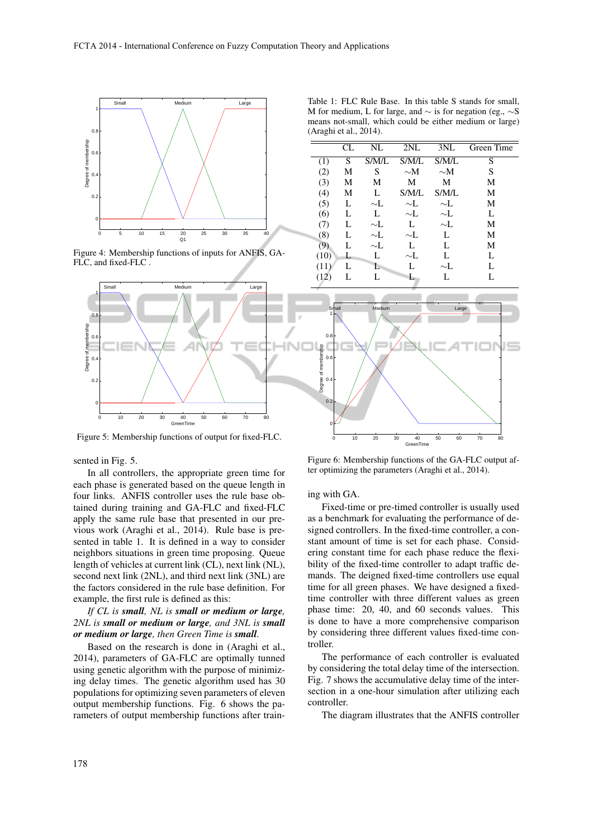

Figure 4: Membership functions of inputs for ANFIS, GA-FLC, and fixed-FLC .



Figure 5: Membership functions of output for fixed-FLC.

sented in Fig. 5.

In all controllers, the appropriate green time for each phase is generated based on the queue length in four links. ANFIS controller uses the rule base obtained during training and GA-FLC and fixed-FLC apply the same rule base that presented in our previous work (Araghi et al., 2014). Rule base is presented in table 1. It is defined in a way to consider neighbors situations in green time proposing. Queue length of vehicles at current link (CL), next link (NL), second next link (2NL), and third next link (3NL) are the factors considered in the rule base definition. For example, the first rule is defined as this:

#### *If CL is small, NL is small or medium or large, 2NL is small or medium or large, and 3NL is small or medium or large, then Green Time is small.*

Based on the research is done in (Araghi et al., 2014), parameters of GA-FLC are optimally tunned using genetic algorithm with the purpose of minimizing delay times. The genetic algorithm used has 30 populations for optimizing seven parameters of eleven output membership functions. Fig. 6 shows the parameters of output membership functions after train-

Figure 6: Membership functions of the GA-FLC output after optimizing the parameters (Araghi et al., 2014).

0 10 20 30 40 50 60 70 80 GreenTime

ing with GA.

Fixed-time or pre-timed controller is usually used as a benchmark for evaluating the performance of designed controllers. In the fixed-time controller, a constant amount of time is set for each phase. Considering constant time for each phase reduce the flexibility of the fixed-time controller to adapt traffic demands. The deigned fixed-time controllers use equal time for all green phases. We have designed a fixedtime controller with three different values as green phase time: 20, 40, and 60 seconds values. This is done to have a more comprehensive comparison by considering three different values fixed-time controller.

The performance of each controller is evaluated by considering the total delay time of the intersection. Fig. 7 shows the accumulative delay time of the intersection in a one-hour simulation after utilizing each controller.

The diagram illustrates that the ANFIS controller

Table 1: FLC Rule Base. In this table S stands for small, M for medium, L for large, and  $\sim$  is for negation (eg.,  $\sim$ S means not-small, which could be either medium or large) (Araghi et al., 2014).

|      | CL. | NL       | 2NL      | 3NL      | Green Time |
|------|-----|----------|----------|----------|------------|
| (1)  | S   | S/M/L    | S/M/L    | S/M/L    | S          |
| (2)  | М   | S        | $\sim$ M | $\sim$ M | S          |
| (3)  | М   | М        | M        | M        | М          |
| (4)  | М   | L        | S/M/L    | S/M/L    | М          |
| (5)  | L   | $\sim$ L | $\sim$ L | $\sim$ L | M          |
| (6)  | L   | L        | $\sim$ L | $\sim$ L | L          |
| (7)  | L   | $\sim$ L | L        | $\sim$ L | M          |
| (8)  | L   | $\sim$ L | $\sim$ L | L        | M          |
| (9)  | L   | $\sim$ L | L        | L        | M          |
| (10) | L   | L        | $\sim$ L | L        | L          |
| (11) | L   | L        | L        | $\sim$ L | L          |
| (12) |     | L        | L        | L        | L          |
|      |     |          |          |          |            |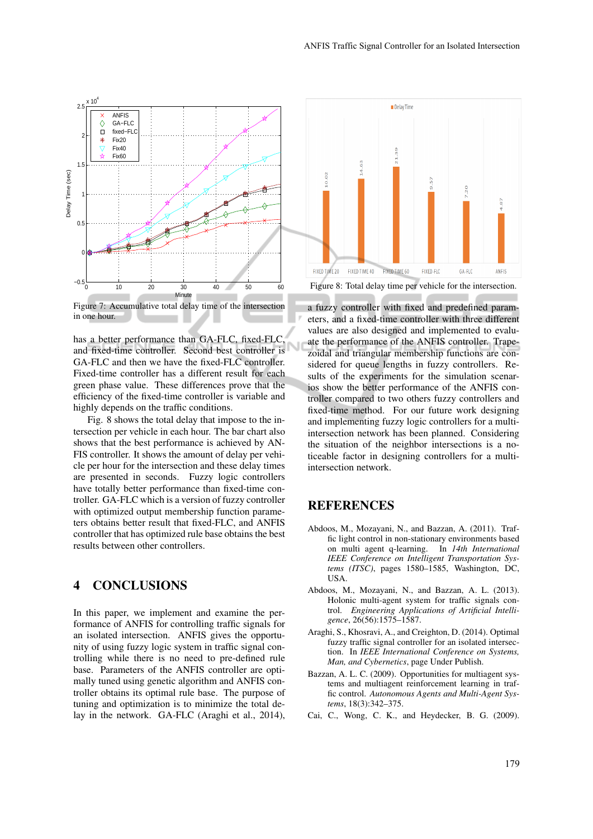

**FIXED TIME 20** 

FIXED TIME 40

Figure 8: Total delay time per vehicle for the intersection.

FIXED-FIC

 $GA-FIC$ 

FIXED TIME 60

Figure 7: Accumulative total delay time of the intersection in one hour.

has a better performance than GA-FLC, fixed-FLC, and fixed-time controller. Second best controller is GA-FLC and then we have the fixed-FLC controller. Fixed-time controller has a different result for each green phase value. These differences prove that the efficiency of the fixed-time controller is variable and highly depends on the traffic conditions.

Fig. 8 shows the total delay that impose to the intersection per vehicle in each hour. The bar chart also shows that the best performance is achieved by AN-FIS controller. It shows the amount of delay per vehicle per hour for the intersection and these delay times are presented in seconds. Fuzzy logic controllers have totally better performance than fixed-time controller. GA-FLC which is a version of fuzzy controller with optimized output membership function parameters obtains better result that fixed-FLC, and ANFIS controller that has optimized rule base obtains the best results between other controllers.

## 4 CONCLUSIONS

In this paper, we implement and examine the performance of ANFIS for controlling traffic signals for an isolated intersection. ANFIS gives the opportunity of using fuzzy logic system in traffic signal controlling while there is no need to pre-defined rule base. Parameters of the ANFIS controller are optimally tuned using genetic algorithm and ANFIS controller obtains its optimal rule base. The purpose of tuning and optimization is to minimize the total delay in the network. GA-FLC (Araghi et al., 2014),

a fuzzy controller with fixed and predefined parameters, and a fixed-time controller with three different values are also designed and implemented to evaluate the performance of the ANFIS controller. Trapezoidal and triangular membership functions are considered for queue lengths in fuzzy controllers. Results of the experiments for the simulation scenarios show the better performance of the ANFIS controller compared to two others fuzzy controllers and fixed-time method. For our future work designing and implementing fuzzy logic controllers for a multiintersection network has been planned. Considering the situation of the neighbor intersections is a noticeable factor in designing controllers for a multiintersection network.

#### REFERENCES

- Abdoos, M., Mozayani, N., and Bazzan, A. (2011). Traffic light control in non-stationary environments based on multi agent q-learning. In *14th International IEEE Conference on Intelligent Transportation Systems (ITSC)*, pages 1580–1585, Washington, DC, USA.
- Abdoos, M., Mozayani, N., and Bazzan, A. L. (2013). Holonic multi-agent system for traffic signals control. *Engineering Applications of Artificial Intelligence*, 26(56):1575–1587.
- Araghi, S., Khosravi, A., and Creighton, D. (2014). Optimal fuzzy traffic signal controller for an isolated intersection. In *IEEE International Conference on Systems, Man, and Cybernetics*, page Under Publish.
- Bazzan, A. L. C. (2009). Opportunities for multiagent systems and multiagent reinforcement learning in traffic control. *Autonomous Agents and Multi-Agent Systems*, 18(3):342–375.
- Cai, C., Wong, C. K., and Heydecker, B. G. (2009).

Delay Time